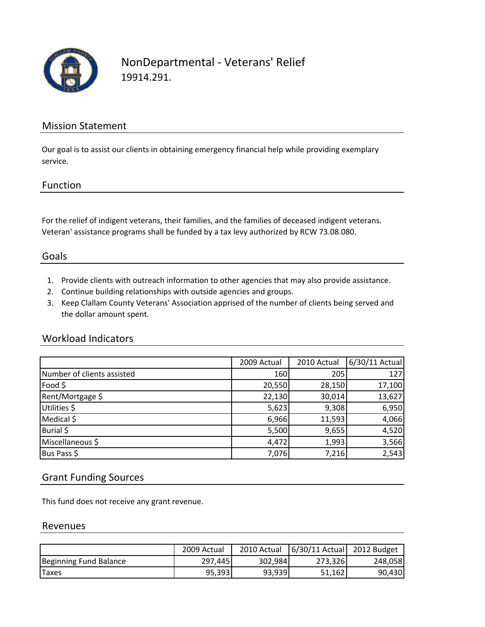

## NonDepartmental ‐ Veterans' Relief 19914.291.

## Mission Statement

Our goal is to assist our clients in obtaining emergency financial help while providing exemplary service.

## Function

For the relief of indigent veterans, their families, and the families of deceased indigent veterans. Veteran' assistance programs shall be funded by a tax levy authorized by RCW 73.08.080.

## Goals

- 1. Provide clients with outreach information to other agencies that may also provide assistance.
- 2. Continue building relationships with outside agencies and groups.
- 3. Keep Clallam County Veterans' Association apprised of the number of clients being served and the dollar amount spent.

#### Workload Indicators

|                            | 2009 Actual | 2010 Actual | 6/30/11 Actual |
|----------------------------|-------------|-------------|----------------|
| Number of clients assisted | 160         | 205         | 127            |
| Food \$                    | 20,550      | 28,150      | 17,100         |
| Rent/Mortgage \$           | 22,130      | 30,014      | 13,627         |
| Utilities \$               | 5,623       | 9,308       | 6,950          |
| Medical \$                 | 6,966       | 11,593      | 4,066          |
| Burial \$                  | 5,500       | 9,655       | 4,520          |
| Miscellaneous \$           | 4,472       | 1,993       | 3,566          |
| Bus Pass \$                | 7,076       | 7,216       | 2,543          |

### Grant Funding Sources

This fund does not receive any grant revenue.

#### Revenues

|                        | 2009 Actual | 2010 Actual | 6/30/11 Actual 2012 Budget |         |
|------------------------|-------------|-------------|----------------------------|---------|
| Beginning Fund Balance | 297.445     | 302,984     | 273,326                    | 248,058 |
| <b>Taxes</b>           | 95,393      | 93,939      | 51,162                     | 90,430  |